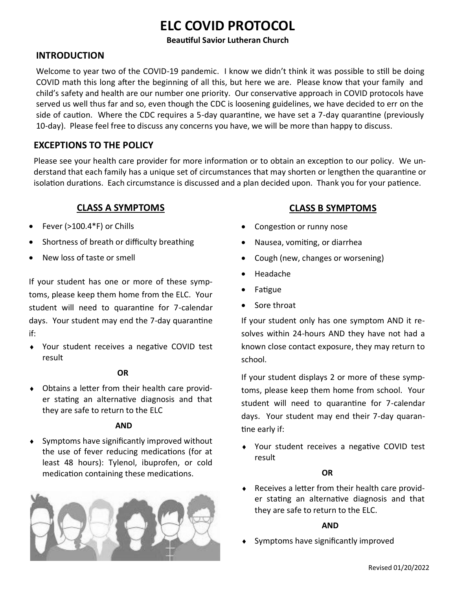## **ELC COVID PROTOCOL**

## **Beautiful Savior Lutheran Church**

## **INTRODUCTION**

Welcome to year two of the COVID-19 pandemic. I know we didn't think it was possible to still be doing COVID math this long after the beginning of all this, but here we are. Please know that your family and child's safety and health are our number one priority. Our conservative approach in COVID protocols have served us well thus far and so, even though the CDC is loosening guidelines, we have decided to err on the side of caution. Where the CDC requires a 5-day quarantine, we have set a 7-day quarantine (previously 10-day). Please feel free to discuss any concerns you have, we will be more than happy to discuss.

## **EXCEPTIONS TO THE POLICY**

Please see your health care provider for more information or to obtain an exception to our policy. We understand that each family has a unique set of circumstances that may shorten or lengthen the quarantine or isolation durations. Each circumstance is discussed and a plan decided upon. Thank you for your patience.

## **CLASS A SYMPTOMS**

- Fever (>100.4\*F) or Chills
- Shortness of breath or difficulty breathing
- New loss of taste or smell

If your student has one or more of these symptoms, please keep them home from the ELC. Your student will need to quarantine for 7-calendar days. Your student may end the 7-day quarantine if:

 Your student receives a negative COVID test result

## **OR**

 Obtains a letter from their health care provider stating an alternative diagnosis and that they are safe to return to the ELC

#### **AND**

 Symptoms have significantly improved without the use of fever reducing medications (for at least 48 hours): Tylenol, ibuprofen, or cold medication containing these medications.



## **CLASS B SYMPTOMS**

- Congestion or runny nose
- Nausea, vomiting, or diarrhea
- Cough (new, changes or worsening)
- Headache
- Fatigue
- Sore throat

If your student only has one symptom AND it resolves within 24-hours AND they have not had a known close contact exposure, they may return to school.

If your student displays 2 or more of these symptoms, please keep them home from school. Your student will need to quarantine for 7-calendar days. Your student may end their 7-day quarantine early if:

 Your student receives a negative COVID test result

## **OR**

 Receives a letter from their health care provider stating an alternative diagnosis and that they are safe to return to the ELC.

#### **AND**

Symptoms have significantly improved